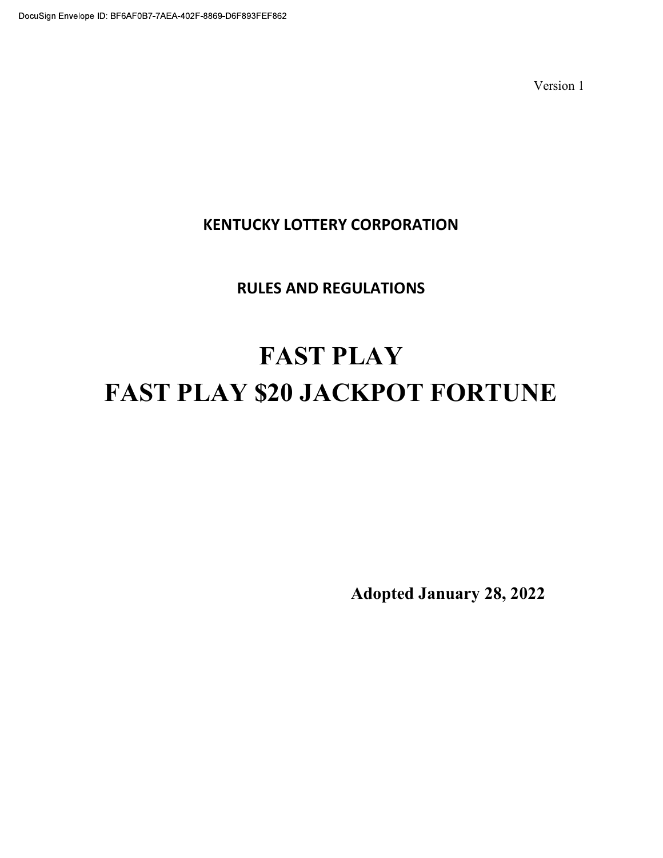Version 1

# KENTUCKY LOTTERY CORPORATION

# RULES AND REGULATIONS

# FAST PLAY FAST PLAY \$20 JACKPOT FORTUNE

Adopted January 28, 2022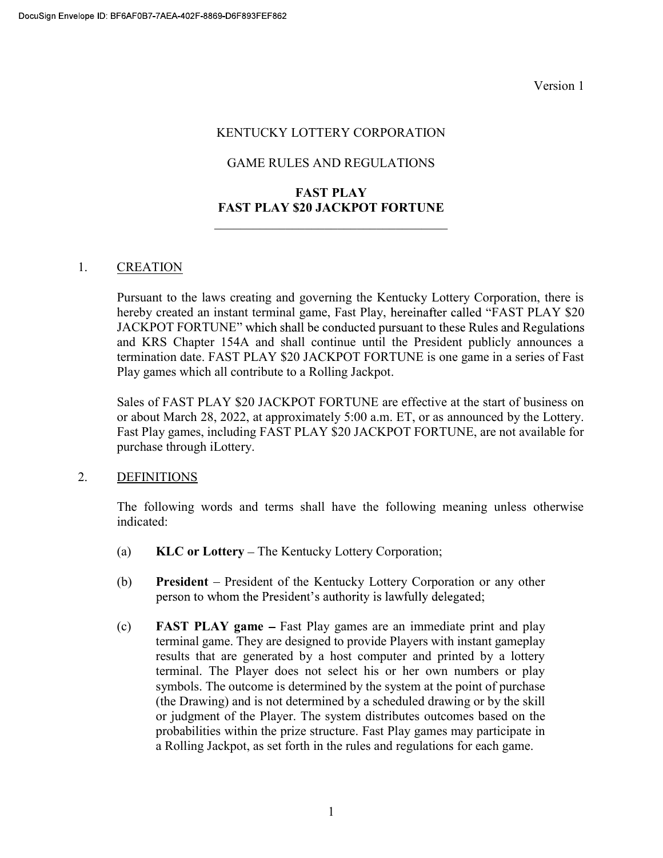Version 1

#### KENTUCKY LOTTERY CORPORATION

# GAME RULES AND REGULATIONS

# FAST PLAY FAST PLAY \$20 JACKPOT FORTUNE

## 1. CREATION

Pursuant to the laws creating and governing the Kentucky Lottery Corporation, there is hereby created an instant terminal game, Fast Play, hereinafter called "FAST PLAY \$20 JACKPOT FORTUNE" which shall be conducted pursuant to these Rules and Regulations and KRS Chapter 154A and shall continue until the President publicly announces a termination date. FAST PLAY \$20 JACKPOT FORTUNE is one game in a series of Fast Play games which all contribute to a Rolling Jackpot.

Sales of FAST PLAY \$20 JACKPOT FORTUNE are effective at the start of business on or about March 28, 2022, at approximately 5:00 a.m. ET, or as announced by the Lottery. Fast Play games, including FAST PLAY \$20 JACKPOT FORTUNE, are not available for purchase through iLottery.

## 2. DEFINITIONS

The following words and terms shall have the following meaning unless otherwise indicated:

- (a)  $KLC$  or Lottery The Kentucky Lottery Corporation;
- (b) President President of the Kentucky Lottery Corporation or any other person to whom the President's authority is lawfully delegated;
- (c) FAST PLAY game Fast Play games are an immediate print and play terminal game. They are designed to provide Players with instant gameplay results that are generated by a host computer and printed by a lottery terminal. The Player does not select his or her own numbers or play symbols. The outcome is determined by the system at the point of purchase (the Drawing) and is not determined by a scheduled drawing or by the skill or judgment of the Player. The system distributes outcomes based on the probabilities within the prize structure. Fast Play games may participate in a Rolling Jackpot, as set forth in the rules and regulations for each game.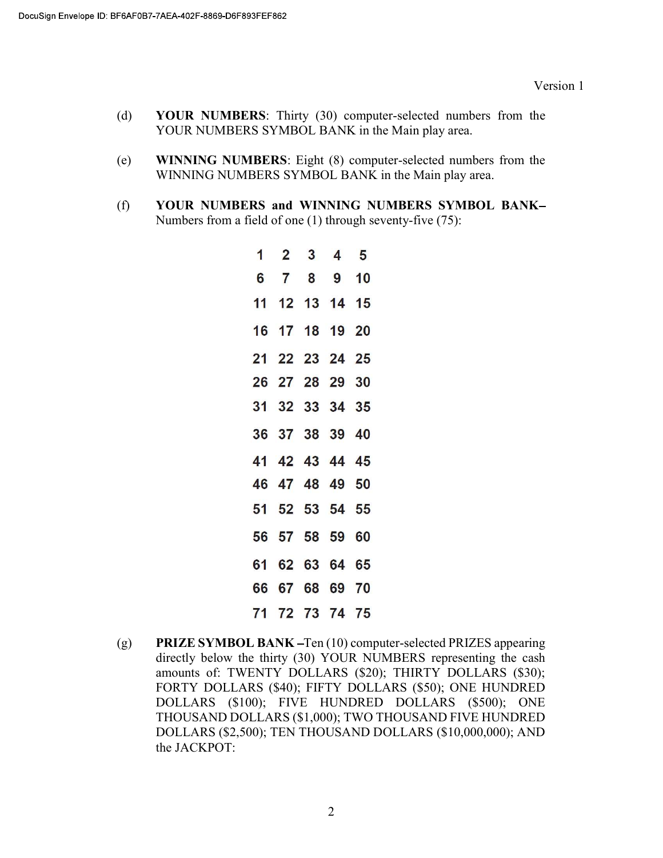- (d) YOUR NUMBERS: Thirty (30) computer-selected numbers from the YOUR NUMBERS SYMBOL BANK in the Main play area.
- (e) WINNING NUMBERS: Eight (8) computer-selected numbers from the WINNING NUMBERS SYMBOL BANK in the Main play area.
- (f) YOUR NUMBERS and WINNING NUMBERS SYMBOL BANK Numbers from a field of one (1) through seventy-five (75):

|  | $1 \quad 2 \quad 3 \quad 4 \quad 5$ |  |
|--|-------------------------------------|--|
|  | 6 7 8 9 10                          |  |
|  | 11 12 13 14 15                      |  |
|  | 16 17 18 19 20                      |  |
|  | 21 22 23 24 25                      |  |
|  | 26 27 28 29 30                      |  |
|  | 31 32 33 34 35                      |  |
|  | 36 37 38 39 40                      |  |
|  | 41 42 43 44 45                      |  |
|  | 46 47 48 49 50                      |  |
|  | 51 52 53 54 55                      |  |
|  | 56 57 58 59 60                      |  |
|  | 61 62 63 64 65                      |  |
|  | 66 67 68 69 70                      |  |
|  | 71 72 73 74 75                      |  |

(g) PRIZE SYMBOL BANK - Ten (10) computer-selected PRIZES appearing directly below the thirty (30) YOUR NUMBERS representing the cash amounts of: TWENTY DOLLARS (\$20); THIRTY DOLLARS (\$30); FORTY DOLLARS (\$40); FIFTY DOLLARS (\$50); ONE HUNDRED DOLLARS (\$100); FIVE HUNDRED DOLLARS (\$500); ONE THOUSAND DOLLARS (\$1,000); TWO THOUSAND FIVE HUNDRED DOLLARS (\$2,500); TEN THOUSAND DOLLARS (\$10,000,000); AND the JACKPOT: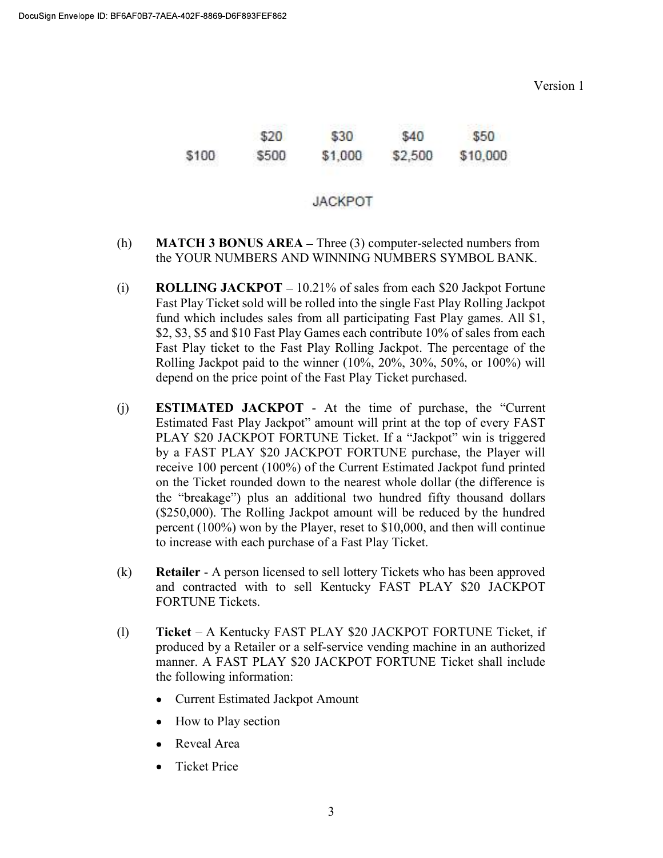Version 1

|       | \$20  | \$30    | \$40    | \$50     |
|-------|-------|---------|---------|----------|
| \$100 | \$500 | \$1,000 | \$2,500 | \$10,000 |

#### **JACKPOT**

- (h) MATCH 3 BONUS AREA  $-$  Three (3) computer-selected numbers from the YOUR NUMBERS AND WINNING NUMBERS SYMBOL BANK.
- (i) ROLLING JACKPOT  $-10.21\%$  of sales from each \$20 Jackpot Fortune Fast Play Ticket sold will be rolled into the single Fast Play Rolling Jackpot fund which includes sales from all participating Fast Play games. All \$1, \$2, \$3, \$5 and \$10 Fast Play Games each contribute 10% of sales from each Fast Play ticket to the Fast Play Rolling Jackpot. The percentage of the Rolling Jackpot paid to the winner (10%, 20%, 30%, 50%, or 100%) will depend on the price point of the Fast Play Ticket purchased.
- $(i)$  ESTIMATED JACKPOT At the time of purchase, the "Current" Estimated Fast Play Jackpot" amount will print at the top of every FAST PLAY \$20 JACKPOT FORTUNE Ticket. If a "Jackpot" win is triggered by a FAST PLAY \$20 JACKPOT FORTUNE purchase, the Player will receive 100 percent (100%) of the Current Estimated Jackpot fund printed on the Ticket rounded down to the nearest whole dollar (the difference is the "breakage") plus an additional two hundred fifty thousand dollars (\$250,000). The Rolling Jackpot amount will be reduced by the hundred percent (100%) won by the Player, reset to \$10,000, and then will continue to increase with each purchase of a Fast Play Ticket.
- (k) Retailer A person licensed to sell lottery Tickets who has been approved and contracted with to sell Kentucky FAST PLAY \$20 JACKPOT FORTUNE Tickets.
- (l) Ticket A Kentucky FAST PLAY \$20 JACKPOT FORTUNE Ticket, if produced by a Retailer or a self-service vending machine in an authorized manner. A FAST PLAY \$20 JACKPOT FORTUNE Ticket shall include the following information:
	- Current Estimated Jackpot Amount
	- How to Play section
	- Reveal Area
	- **Ticket Price**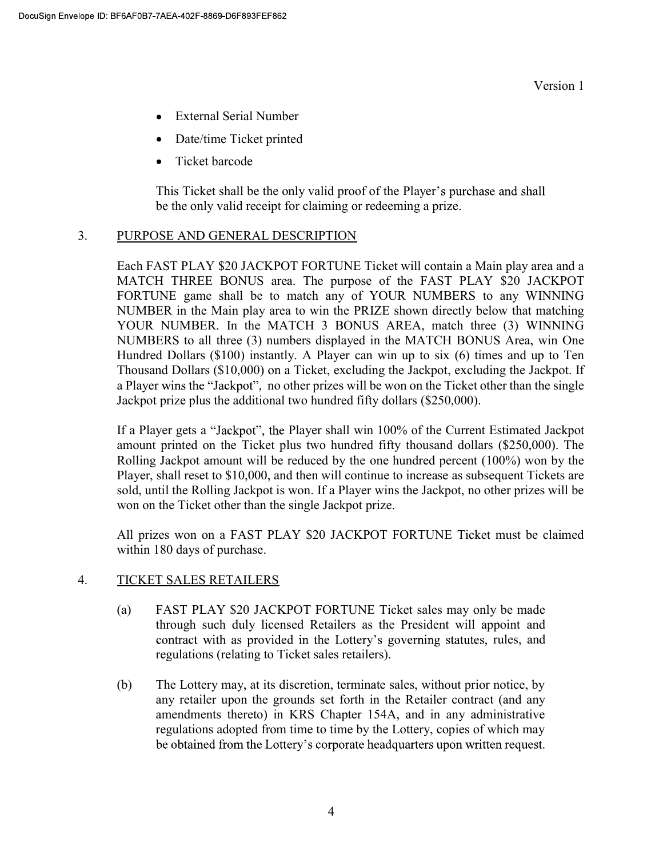- External Serial Number
- Date/time Ticket printed
- Ticket barcode

This Ticket shall be the only valid proof of the Player's purchase and shall be the only valid receipt for claiming or redeeming a prize.

# 3. PURPOSE AND GENERAL DESCRIPTION

Each FAST PLAY \$20 JACKPOT FORTUNE Ticket will contain a Main play area and a MATCH THREE BONUS area. The purpose of the FAST PLAY \$20 JACKPOT FORTUNE game shall be to match any of YOUR NUMBERS to any WINNING NUMBER in the Main play area to win the PRIZE shown directly below that matching YOUR NUMBER. In the MATCH 3 BONUS AREA, match three (3) WINNING NUMBERS to all three (3) numbers displayed in the MATCH BONUS Area, win One Hundred Dollars (\$100) instantly. A Player can win up to six (6) times and up to Ten Thousand Dollars (\$10,000) on a Ticket, excluding the Jackpot, excluding the Jackpot. If a Player wins the "Jackpot", no other prizes will be won on the Ticket other than the single Jackpot prize plus the additional two hundred fifty dollars (\$250,000).

If a Player gets a "Jackpot", the Player shall win 100% of the Current Estimated Jackpot amount printed on the Ticket plus two hundred fifty thousand dollars (\$250,000). The Rolling Jackpot amount will be reduced by the one hundred percent (100%) won by the Player, shall reset to \$10,000, and then will continue to increase as subsequent Tickets are sold, until the Rolling Jackpot is won. If a Player wins the Jackpot, no other prizes will be won on the Ticket other than the single Jackpot prize.

All prizes won on a FAST PLAY \$20 JACKPOT FORTUNE Ticket must be claimed within 180 days of purchase.

# 4. TICKET SALES RETAILERS

- (a) FAST PLAY \$20 JACKPOT FORTUNE Ticket sales may only be made through such duly licensed Retailers as the President will appoint and contract with as provided in the Lottery's governing statutes, rules, and regulations (relating to Ticket sales retailers).
- (b) The Lottery may, at its discretion, terminate sales, without prior notice, by any retailer upon the grounds set forth in the Retailer contract (and any amendments thereto) in KRS Chapter 154A, and in any administrative regulations adopted from time to time by the Lottery, copies of which may be obtained from the Lottery's corporate headquarters upon written request.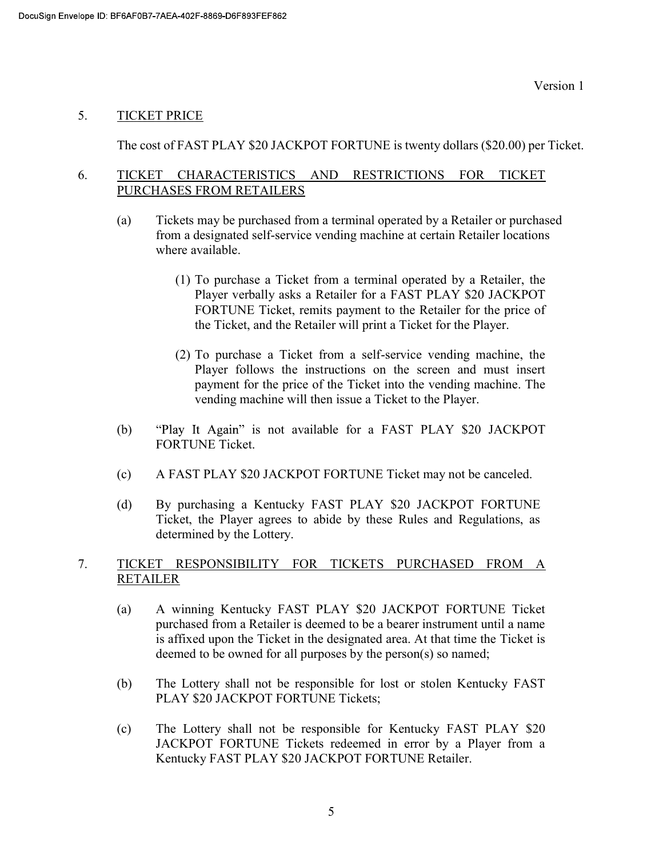# 5. TICKET PRICE

The cost of FAST PLAY \$20 JACKPOT FORTUNE is twenty dollars (\$20.00) per Ticket.

## 6. TICKET CHARACTERISTICS AND RESTRICTIONS FOR TICKET PURCHASES FROM RETAILERS

- (a) Tickets may be purchased from a terminal operated by a Retailer or purchased from a designated self-service vending machine at certain Retailer locations where available.
	- (1) To purchase a Ticket from a terminal operated by a Retailer, the Player verbally asks a Retailer for a FAST PLAY \$20 JACKPOT FORTUNE Ticket, remits payment to the Retailer for the price of the Ticket, and the Retailer will print a Ticket for the Player.
	- (2) To purchase a Ticket from a self-service vending machine, the Player follows the instructions on the screen and must insert payment for the price of the Ticket into the vending machine. The vending machine will then issue a Ticket to the Player.
- (b) "Play It Again" is not available for a FAST PLAY \$20 JACKPOT FORTUNE Ticket.
- (c) A FAST PLAY \$20 JACKPOT FORTUNE Ticket may not be canceled.
- (d) By purchasing a Kentucky FAST PLAY \$20 JACKPOT FORTUNE Ticket, the Player agrees to abide by these Rules and Regulations, as determined by the Lottery.

# 7. TICKET RESPONSIBILITY FOR TICKETS PURCHASED FROM A RETAILER

- (a) A winning Kentucky FAST PLAY \$20 JACKPOT FORTUNE Ticket purchased from a Retailer is deemed to be a bearer instrument until a name is affixed upon the Ticket in the designated area. At that time the Ticket is deemed to be owned for all purposes by the person(s) so named;
- (b) The Lottery shall not be responsible for lost or stolen Kentucky FAST PLAY \$20 JACKPOT FORTUNE Tickets;
- (c) The Lottery shall not be responsible for Kentucky FAST PLAY \$20 JACKPOT FORTUNE Tickets redeemed in error by a Player from a Kentucky FAST PLAY \$20 JACKPOT FORTUNE Retailer.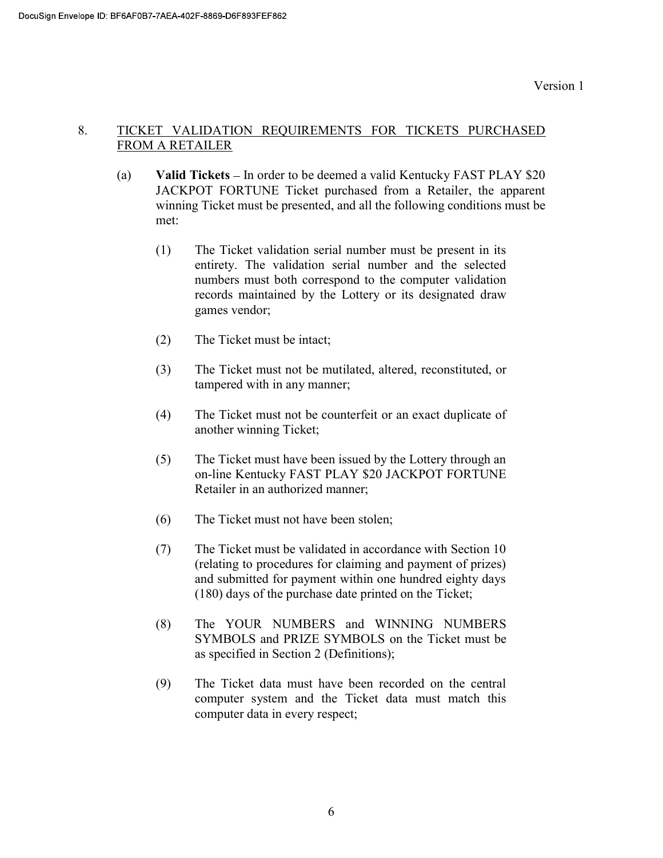# 8. TICKET VALIDATION REQUIREMENTS FOR TICKETS PURCHASED FROM A RETAILER

- (a) Valid Tickets  $-$  In order to be deemed a valid Kentucky FAST PLAY \$20 JACKPOT FORTUNE Ticket purchased from a Retailer, the apparent winning Ticket must be presented, and all the following conditions must be met:
	- (1) The Ticket validation serial number must be present in its entirety. The validation serial number and the selected numbers must both correspond to the computer validation records maintained by the Lottery or its designated draw games vendor;
	- (2) The Ticket must be intact;
	- (3) The Ticket must not be mutilated, altered, reconstituted, or tampered with in any manner;
	- (4) The Ticket must not be counterfeit or an exact duplicate of another winning Ticket;
	- (5) The Ticket must have been issued by the Lottery through an on-line Kentucky FAST PLAY \$20 JACKPOT FORTUNE Retailer in an authorized manner;
	- (6) The Ticket must not have been stolen;
	- (7) The Ticket must be validated in accordance with Section 10 (relating to procedures for claiming and payment of prizes) and submitted for payment within one hundred eighty days (180) days of the purchase date printed on the Ticket;
	- (8) The YOUR NUMBERS and WINNING NUMBERS SYMBOLS and PRIZE SYMBOLS on the Ticket must be as specified in Section 2 (Definitions);
	- (9) The Ticket data must have been recorded on the central computer system and the Ticket data must match this computer data in every respect;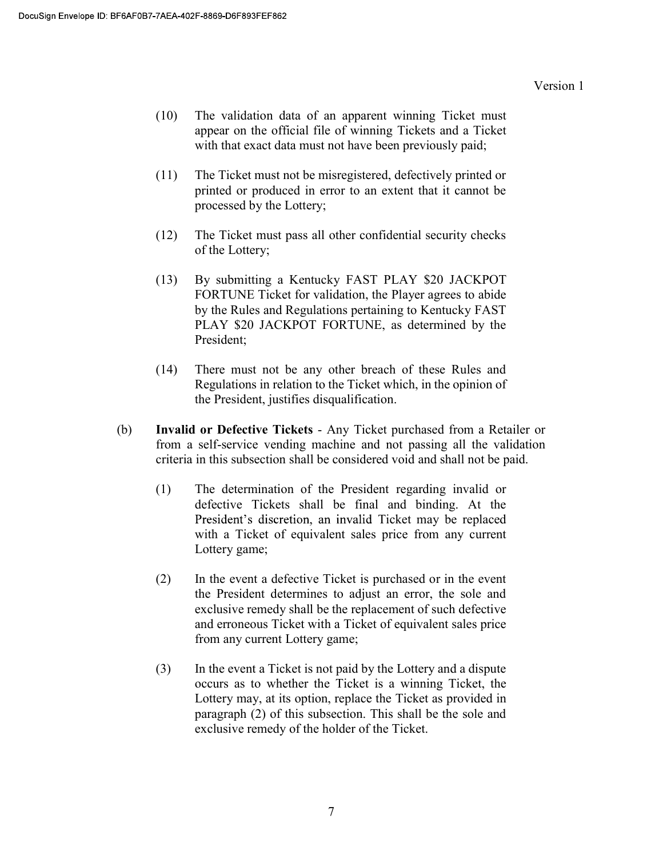- (10) The validation data of an apparent winning Ticket must appear on the official file of winning Tickets and a Ticket with that exact data must not have been previously paid;
- (11) The Ticket must not be misregistered, defectively printed or printed or produced in error to an extent that it cannot be processed by the Lottery;
- (12) The Ticket must pass all other confidential security checks of the Lottery;
- (13) By submitting a Kentucky FAST PLAY \$20 JACKPOT FORTUNE Ticket for validation, the Player agrees to abide by the Rules and Regulations pertaining to Kentucky FAST PLAY \$20 JACKPOT FORTUNE, as determined by the President;
- (14) There must not be any other breach of these Rules and Regulations in relation to the Ticket which, in the opinion of the President, justifies disqualification.
- (b) Invalid or Defective Tickets Any Ticket purchased from a Retailer or from a self-service vending machine and not passing all the validation criteria in this subsection shall be considered void and shall not be paid.
	- (1) The determination of the President regarding invalid or defective Tickets shall be final and binding. At the President's discretion, an invalid Ticket may be replaced with a Ticket of equivalent sales price from any current Lottery game;
	- (2) In the event a defective Ticket is purchased or in the event the President determines to adjust an error, the sole and exclusive remedy shall be the replacement of such defective and erroneous Ticket with a Ticket of equivalent sales price from any current Lottery game;
	- (3) In the event a Ticket is not paid by the Lottery and a dispute occurs as to whether the Ticket is a winning Ticket, the Lottery may, at its option, replace the Ticket as provided in paragraph (2) of this subsection. This shall be the sole and exclusive remedy of the holder of the Ticket.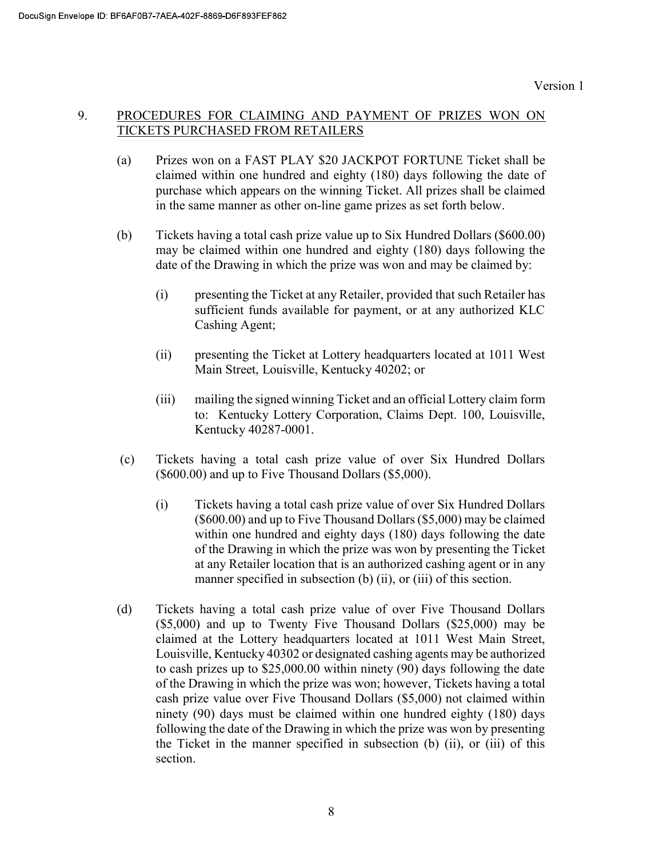# 9. PROCEDURES FOR CLAIMING AND PAYMENT OF PRIZES WON ON TICKETS PURCHASED FROM RETAILERS

- (a) Prizes won on a FAST PLAY \$20 JACKPOT FORTUNE Ticket shall be claimed within one hundred and eighty (180) days following the date of purchase which appears on the winning Ticket. All prizes shall be claimed in the same manner as other on-line game prizes as set forth below.
- (b) Tickets having a total cash prize value up to Six Hundred Dollars (\$600.00) may be claimed within one hundred and eighty (180) days following the date of the Drawing in which the prize was won and may be claimed by:
	- (i) presenting the Ticket at any Retailer, provided that such Retailer has sufficient funds available for payment, or at any authorized KLC Cashing Agent;
	- (ii) presenting the Ticket at Lottery headquarters located at 1011 West Main Street, Louisville, Kentucky 40202; or
	- (iii) mailing the signed winning Ticket and an official Lottery claim form to: Kentucky Lottery Corporation, Claims Dept. 100, Louisville, Kentucky 40287-0001.
- (c) Tickets having a total cash prize value of over Six Hundred Dollars (\$600.00) and up to Five Thousand Dollars (\$5,000).
	- (i) Tickets having a total cash prize value of over Six Hundred Dollars (\$600.00) and up to Five Thousand Dollars (\$5,000) may be claimed within one hundred and eighty days (180) days following the date of the Drawing in which the prize was won by presenting the Ticket at any Retailer location that is an authorized cashing agent or in any manner specified in subsection (b) (ii), or (iii) of this section.
- (d) Tickets having a total cash prize value of over Five Thousand Dollars (\$5,000) and up to Twenty Five Thousand Dollars (\$25,000) may be claimed at the Lottery headquarters located at 1011 West Main Street, Louisville, Kentucky 40302 or designated cashing agents may be authorized to cash prizes up to \$25,000.00 within ninety (90) days following the date of the Drawing in which the prize was won; however, Tickets having a total cash prize value over Five Thousand Dollars (\$5,000) not claimed within ninety (90) days must be claimed within one hundred eighty (180) days following the date of the Drawing in which the prize was won by presenting the Ticket in the manner specified in subsection (b) (ii), or (iii) of this section.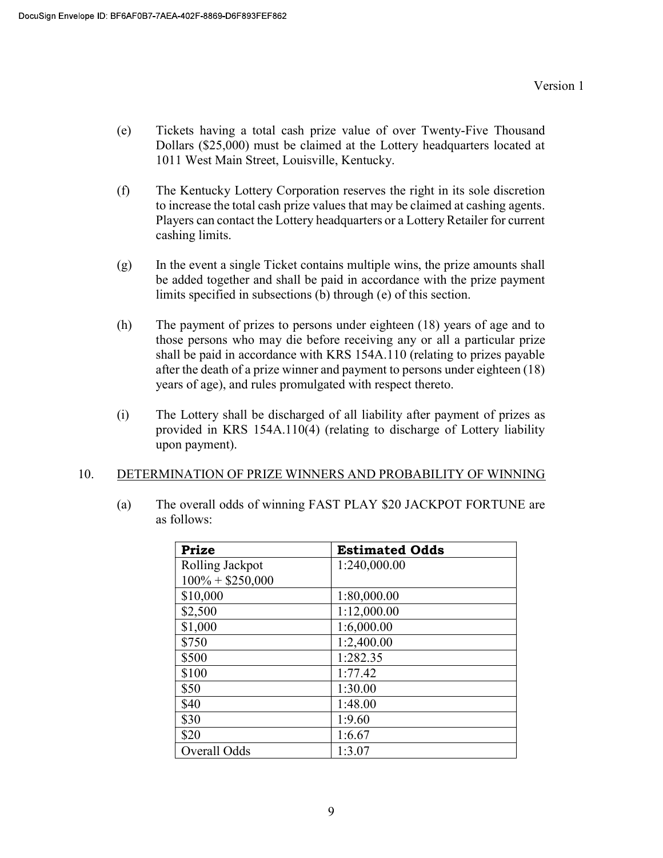- (e) Tickets having a total cash prize value of over Twenty-Five Thousand Dollars (\$25,000) must be claimed at the Lottery headquarters located at 1011 West Main Street, Louisville, Kentucky.
- (f) The Kentucky Lottery Corporation reserves the right in its sole discretion to increase the total cash prize values that may be claimed at cashing agents. Players can contact the Lottery headquarters or a Lottery Retailer for current cashing limits.
- (g) In the event a single Ticket contains multiple wins, the prize amounts shall be added together and shall be paid in accordance with the prize payment limits specified in subsections (b) through (e) of this section.
- (h) The payment of prizes to persons under eighteen (18) years of age and to those persons who may die before receiving any or all a particular prize shall be paid in accordance with KRS 154A.110 (relating to prizes payable after the death of a prize winner and payment to persons under eighteen (18) years of age), and rules promulgated with respect thereto.
- (i) The Lottery shall be discharged of all liability after payment of prizes as provided in KRS 154A.110(4) (relating to discharge of Lottery liability upon payment).

## 10. DETERMINATION OF PRIZE WINNERS AND PROBABILITY OF WINNING

(a) The overall odds of winning FAST PLAY \$20 JACKPOT FORTUNE are as follows:

| <b>Prize</b>       | <b>Estimated Odds</b> |
|--------------------|-----------------------|
| Rolling Jackpot    | 1:240,000.00          |
| $100\% + $250,000$ |                       |
| \$10,000           | 1:80,000.00           |
| \$2,500            | 1:12,000.00           |
| \$1,000            | 1:6,000.00            |
| \$750              | 1:2,400.00            |
| \$500              | 1:282.35              |
| \$100              | 1:77.42               |
| \$50               | 1:30.00               |
| \$40               | 1:48.00               |
| \$30               | 1:9.60                |
| \$20               | 1:6.67                |
| Overall Odds       | 1:3.07                |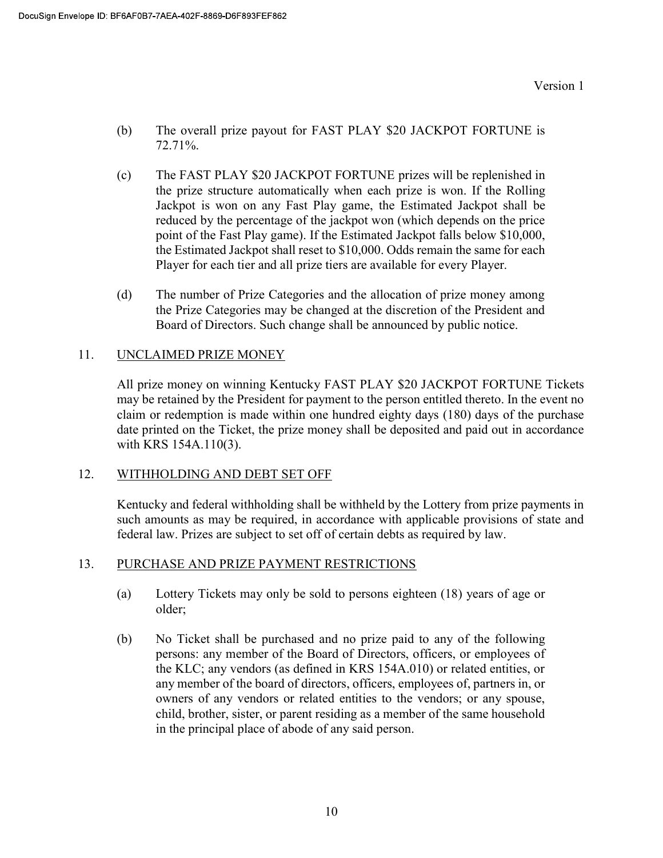- (b) The overall prize payout for FAST PLAY \$20 JACKPOT FORTUNE is 72.71%.
- (c) The FAST PLAY \$20 JACKPOT FORTUNE prizes will be replenished in the prize structure automatically when each prize is won. If the Rolling Jackpot is won on any Fast Play game, the Estimated Jackpot shall be reduced by the percentage of the jackpot won (which depends on the price point of the Fast Play game). If the Estimated Jackpot falls below \$10,000, the Estimated Jackpot shall reset to \$10,000. Odds remain the same for each Player for each tier and all prize tiers are available for every Player.
- (d) The number of Prize Categories and the allocation of prize money among the Prize Categories may be changed at the discretion of the President and Board of Directors. Such change shall be announced by public notice.

# 11. UNCLAIMED PRIZE MONEY

All prize money on winning Kentucky FAST PLAY \$20 JACKPOT FORTUNE Tickets may be retained by the President for payment to the person entitled thereto. In the event no claim or redemption is made within one hundred eighty days (180) days of the purchase date printed on the Ticket, the prize money shall be deposited and paid out in accordance with KRS 154A.110(3).

## 12. WITHHOLDING AND DEBT SET OFF

 Kentucky and federal withholding shall be withheld by the Lottery from prize payments in such amounts as may be required, in accordance with applicable provisions of state and federal law. Prizes are subject to set off of certain debts as required by law.

## 13. PURCHASE AND PRIZE PAYMENT RESTRICTIONS

- (a) Lottery Tickets may only be sold to persons eighteen (18) years of age or older;
- (b) No Ticket shall be purchased and no prize paid to any of the following persons: any member of the Board of Directors, officers, or employees of the KLC; any vendors (as defined in KRS 154A.010) or related entities, or any member of the board of directors, officers, employees of, partners in, or owners of any vendors or related entities to the vendors; or any spouse, child, brother, sister, or parent residing as a member of the same household in the principal place of abode of any said person.